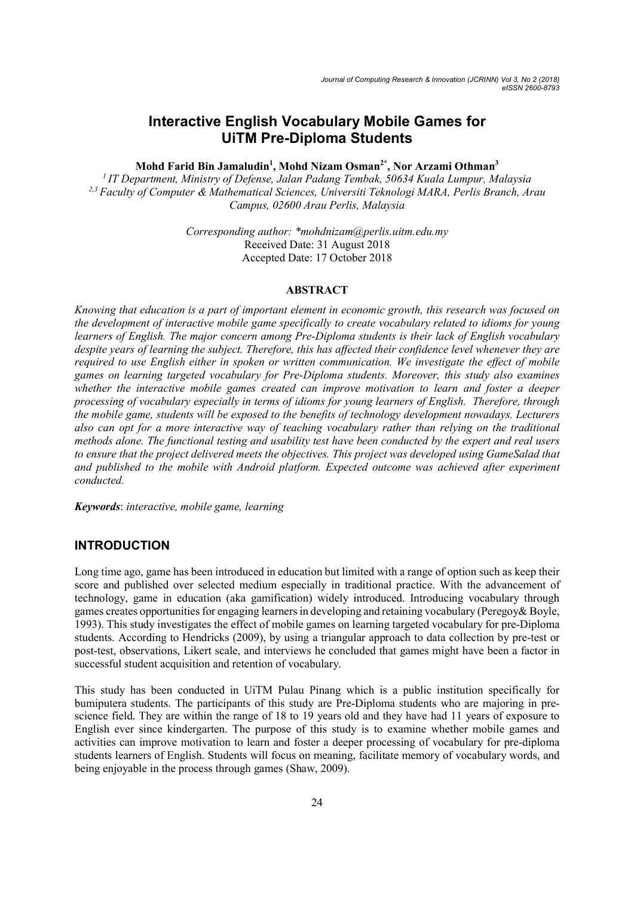# Interactive English Vocabulary Mobile Games for UiTM Pre-Diploma Students

Mohd Farid Bin Jamaludin<sup>1</sup>, Mohd Nizam Osman<sup>2\*</sup>, Nor Arzami Othman<sup>3</sup>

<sup>1</sup> IT Department, Ministry of Defense, Jalan Padang Tembak, 50634 Kuala Lumpur, Malaysia  $^{2,3}$  Faculty of Computer & Mathematical Sciences, Universiti Teknologi MARA, Perlis Branch, Arau Campus, 02600 Arau Perlis, Malaysia

> Corresponding author: \*mohdnizam@perlis.uitm.edu.my Received Date: 31 August 2018 Accepted Date: 17 October 2018

#### ABSTRACT

Knowing that education is a part of important element in economic growth, this research was focused on the development of interactive mobile game specifically to create vocabulary related to idioms for young learners of English. The major concern among Pre-Diploma students is their lack of English vocabulary despite years of learning the subject. Therefore, this has affected their confidence level whenever they are required to use English either in spoken or written communication. We investigate the effect of mobile games on learning targeted vocabulary for Pre-Diploma students. Moreover, this study also examines whether the interactive mobile games created can improve motivation to learn and foster a deeper processing of vocabulary especially in terms of idioms for young learners of English. Therefore, through the mobile game, students will be exposed to the benefits of technology development nowadays. Lecturers also can opt for a more interactive way of teaching vocabulary rather than relying on the traditional methods alone. The functional testing and usability test have been conducted by the expert and real users to ensure that the project delivered meets the objectives. This project was developed using GameSalad that and published to the mobile with Android platform. Expected outcome was achieved after experiment conducted.

Keywords: interactive, mobile game, learning

# INTRODUCTION

Long time ago, game has been introduced in education but limited with a range of option such as keep their score and published over selected medium especially in traditional practice. With the advancement of technology, game in education (aka gamification) widely introduced. Introducing vocabulary through games creates opportunities for engaging learners in developing and retaining vocabulary (Peregoy& Boyle, 1993). This study investigates the effect of mobile games on learning targeted vocabulary for pre-Diploma students. According to Hendricks (2009), by using a triangular approach to data collection by pre-test or post-test, observations, Likert scale, and interviews he concluded that games might have been a factor in successful student acquisition and retention of vocabulary.

This study has been conducted in UiTM Pulau Pinang which is a public institution specifically for bumiputera students. The participants of this study are Pre-Diploma students who are majoring in prescience field. They are within the range of 18 to 19 years old and they have had 11 years of exposure to English ever since kindergarten. The purpose of this study is to examine whether mobile games and activities can improve motivation to learn and foster a deeper processing of vocabulary for pre-diploma students learners of English. Students will focus on meaning, facilitate memory of vocabulary words, and being enjoyable in the process through games (Shaw, 2009).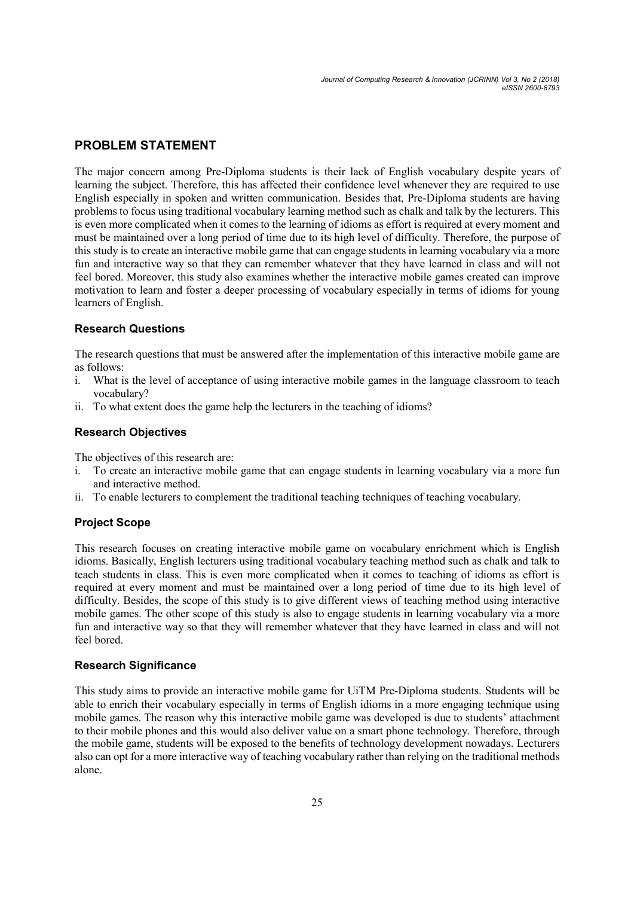# PROBLEM STATEMENT

The major concern among Pre-Diploma students is their lack of English vocabulary despite years of learning the subject. Therefore, this has affected their confidence level whenever they are required to use English especially in spoken and written communication. Besides that, Pre-Diploma students are having problems to focus using traditional vocabulary learning method such as chalk and talk by the lecturers. This is even more complicated when it comes to the learning of idioms as effort is required at every moment and must be maintained over a long period of time due to its high level of difficulty. Therefore, the purpose of this study is to create an interactive mobile game that can engage students in learning vocabulary via a more fun and interactive way so that they can remember whatever that they have learned in class and will not feel bored. Moreover, this study also examines whether the interactive mobile games created can improve motivation to learn and foster a deeper processing of vocabulary especially in terms of idioms for young learners of English.

# Research Questions

The research questions that must be answered after the implementation of this interactive mobile game are as follows:

- i. What is the level of acceptance of using interactive mobile games in the language classroom to teach vocabulary?
- ii. To what extent does the game help the lecturers in the teaching of idioms?

#### Research Objectives

The objectives of this research are:

- i. To create an interactive mobile game that can engage students in learning vocabulary via a more fun and interactive method.
- ii. To enable lecturers to complement the traditional teaching techniques of teaching vocabulary.

#### Project Scope

This research focuses on creating interactive mobile game on vocabulary enrichment which is English idioms. Basically, English lecturers using traditional vocabulary teaching method such as chalk and talk to teach students in class. This is even more complicated when it comes to teaching of idioms as effort is required at every moment and must be maintained over a long period of time due to its high level of difficulty. Besides, the scope of this study is to give different views of teaching method using interactive mobile games. The other scope of this study is also to engage students in learning vocabulary via a more fun and interactive way so that they will remember whatever that they have learned in class and will not feel bored.

#### Research Significance

This study aims to provide an interactive mobile game for UiTM Pre-Diploma students. Students will be able to enrich their vocabulary especially in terms of English idioms in a more engaging technique using mobile games. The reason why this interactive mobile game was developed is due to students' attachment to their mobile phones and this would also deliver value on a smart phone technology. Therefore, through the mobile game, students will be exposed to the benefits of technology development nowadays. Lecturers also can opt for a more interactive way of teaching vocabulary rather than relying on the traditional methods alone.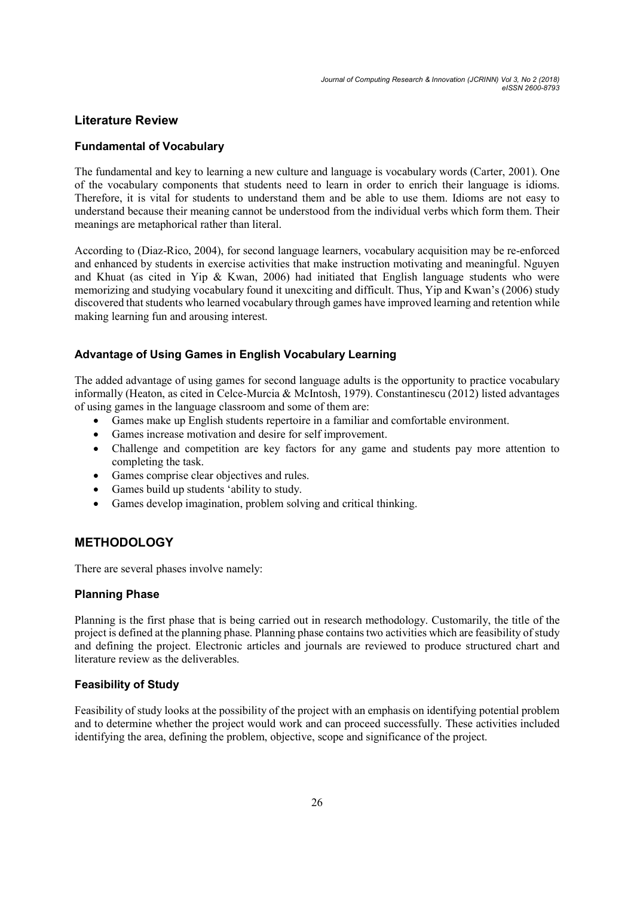# Literature Review

## Fundamental of Vocabulary

The fundamental and key to learning a new culture and language is vocabulary words (Carter, 2001). One of the vocabulary components that students need to learn in order to enrich their language is idioms. Therefore, it is vital for students to understand them and be able to use them. Idioms are not easy to understand because their meaning cannot be understood from the individual verbs which form them. Their meanings are metaphorical rather than literal.

According to (Diaz-Rico, 2004), for second language learners, vocabulary acquisition may be re-enforced and enhanced by students in exercise activities that make instruction motivating and meaningful. Nguyen and Khuat (as cited in Yip & Kwan, 2006) had initiated that English language students who were memorizing and studying vocabulary found it unexciting and difficult. Thus, Yip and Kwan's (2006) study discovered that students who learned vocabulary through games have improved learning and retention while making learning fun and arousing interest.

# Advantage of Using Games in English Vocabulary Learning

The added advantage of using games for second language adults is the opportunity to practice vocabulary informally (Heaton, as cited in Celce-Murcia & McIntosh, 1979). Constantinescu (2012) listed advantages of using games in the language classroom and some of them are:

- Games make up English students repertoire in a familiar and comfortable environment.
- Games increase motivation and desire for self improvement.
- Challenge and competition are key factors for any game and students pay more attention to completing the task.
- Games comprise clear objectives and rules.
- Games build up students 'ability to study.
- Games develop imagination, problem solving and critical thinking.

# METHODOLOGY

There are several phases involve namely:

#### Planning Phase

Planning is the first phase that is being carried out in research methodology. Customarily, the title of the project is defined at the planning phase. Planning phase contains two activities which are feasibility of study and defining the project. Electronic articles and journals are reviewed to produce structured chart and literature review as the deliverables.

#### Feasibility of Study

Feasibility of study looks at the possibility of the project with an emphasis on identifying potential problem and to determine whether the project would work and can proceed successfully. These activities included identifying the area, defining the problem, objective, scope and significance of the project.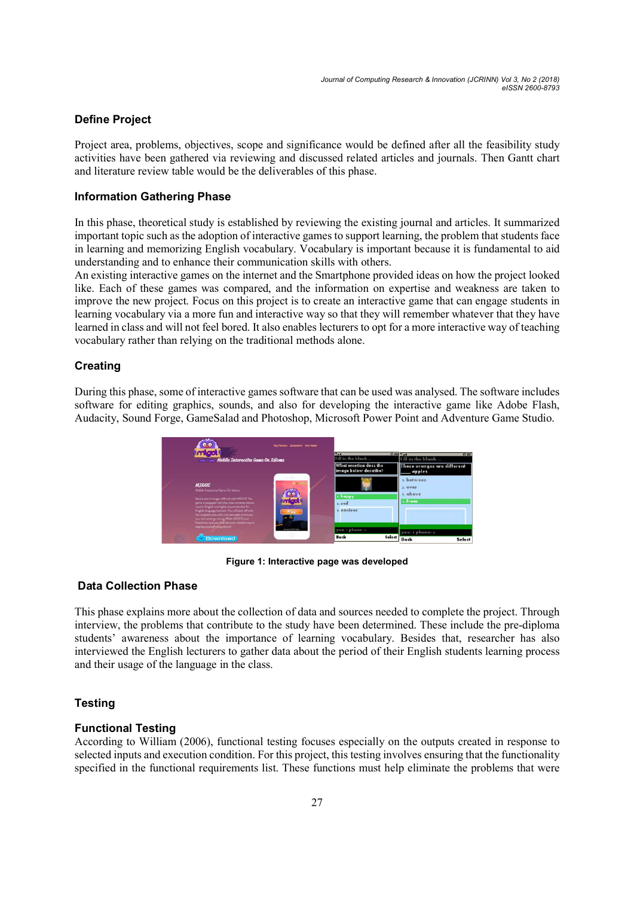# Define Project

Project area, problems, objectives, scope and significance would be defined after all the feasibility study activities have been gathered via reviewing and discussed related articles and journals. Then Gantt chart and literature review table would be the deliverables of this phase.

## Information Gathering Phase

In this phase, theoretical study is established by reviewing the existing journal and articles. It summarized important topic such as the adoption of interactive games to support learning, the problem that students face in learning and memorizing English vocabulary. Vocabulary is important because it is fundamental to aid understanding and to enhance their communication skills with others.

An existing interactive games on the internet and the Smartphone provided ideas on how the project looked like. Each of these games was compared, and the information on expertise and weakness are taken to improve the new project. Focus on this project is to create an interactive game that can engage students in learning vocabulary via a more fun and interactive way so that they will remember whatever that they have learned in class and will not feel bored. It also enables lecturers to opt for a more interactive way of teaching vocabulary rather than relying on the traditional methods alone.

# Creating

During this phase, some of interactive games software that can be used was analysed. The software includes software for editing graphics, sounds, and also for developing the interactive game like Adobe Flash, Audacity, Sound Forge, GameSalad and Photoshop, Microsoft Power Point and Adventure Game Studio.



Figure 1: Interactive page was developed

#### Data Collection Phase

This phase explains more about the collection of data and sources needed to complete the project. Through interview, the problems that contribute to the study have been determined. These include the pre-diploma students' awareness about the importance of learning vocabulary. Besides that, researcher has also interviewed the English lecturers to gather data about the period of their English students learning process and their usage of the language in the class.

#### **Testing**

#### Functional Testing

According to William (2006), functional testing focuses especially on the outputs created in response to selected inputs and execution condition. For this project, this testing involves ensuring that the functionality specified in the functional requirements list. These functions must help eliminate the problems that were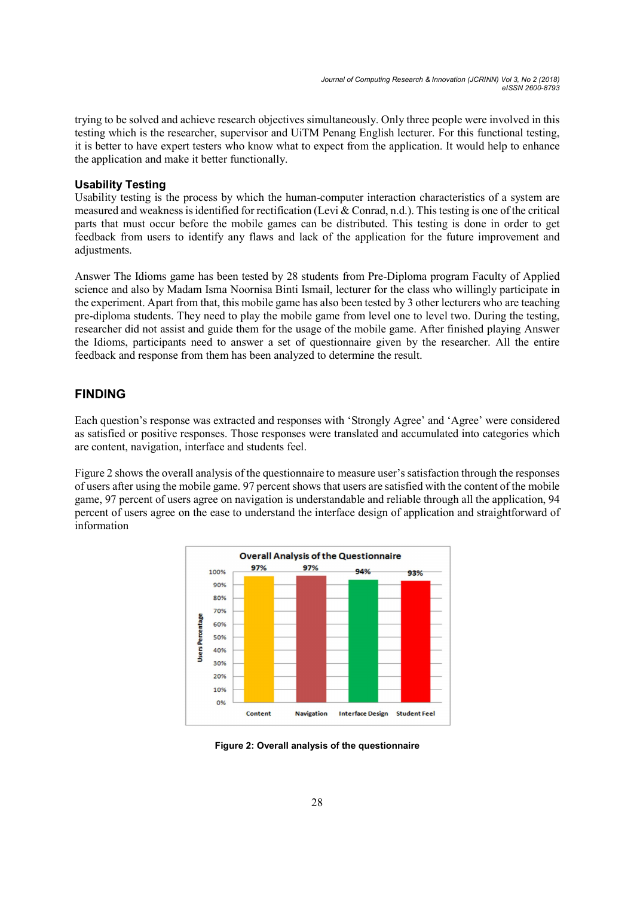trying to be solved and achieve research objectives simultaneously. Only three people were involved in this testing which is the researcher, supervisor and UiTM Penang English lecturer. For this functional testing, it is better to have expert testers who know what to expect from the application. It would help to enhance the application and make it better functionally.

#### Usability Testing

Usability testing is the process by which the human-computer interaction characteristics of a system are measured and weakness is identified for rectification (Levi & Conrad, n.d.). This testing is one of the critical parts that must occur before the mobile games can be distributed. This testing is done in order to get feedback from users to identify any flaws and lack of the application for the future improvement and adjustments.

Answer The Idioms game has been tested by 28 students from Pre-Diploma program Faculty of Applied science and also by Madam Isma Noornisa Binti Ismail, lecturer for the class who willingly participate in the experiment. Apart from that, this mobile game has also been tested by 3 other lecturers who are teaching pre-diploma students. They need to play the mobile game from level one to level two. During the testing, researcher did not assist and guide them for the usage of the mobile game. After finished playing Answer the Idioms, participants need to answer a set of questionnaire given by the researcher. All the entire feedback and response from them has been analyzed to determine the result.

# FINDING

Each question's response was extracted and responses with 'Strongly Agree' and 'Agree' were considered as satisfied or positive responses. Those responses were translated and accumulated into categories which are content, navigation, interface and students feel.

 Figure 2 shows the overall analysis of the questionnaire to measure user's satisfaction through the responses of users after using the mobile game. 97 percent shows that users are satisfied with the content of the mobile game, 97 percent of users agree on navigation is understandable and reliable through all the application, 94 percent of users agree on the ease to understand the interface design of application and straightforward of information



Figure 2: Overall analysis of the questionnaire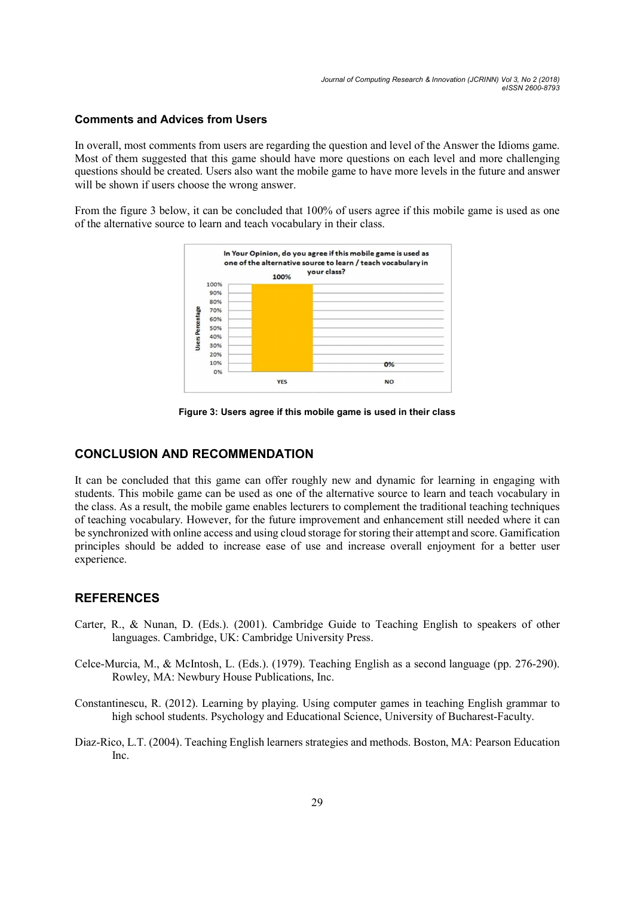#### Comments and Advices from Users

In overall, most comments from users are regarding the question and level of the Answer the Idioms game. Most of them suggested that this game should have more questions on each level and more challenging questions should be created. Users also want the mobile game to have more levels in the future and answer will be shown if users choose the wrong answer.

 From the figure 3 below, it can be concluded that 100% of users agree if this mobile game is used as one of the alternative source to learn and teach vocabulary in their class.



Figure 3: Users agree if this mobile game is used in their class

#### CONCLUSION AND RECOMMENDATION

It can be concluded that this game can offer roughly new and dynamic for learning in engaging with students. This mobile game can be used as one of the alternative source to learn and teach vocabulary in the class. As a result, the mobile game enables lecturers to complement the traditional teaching techniques of teaching vocabulary. However, for the future improvement and enhancement still needed where it can be synchronized with online access and using cloud storage for storing their attempt and score. Gamification principles should be added to increase ease of use and increase overall enjoyment for a better user experience.

## **REFERENCES**

- Carter, R., & Nunan, D. (Eds.). (2001). Cambridge Guide to Teaching English to speakers of other languages. Cambridge, UK: Cambridge University Press.
- Celce-Murcia, M., & McIntosh, L. (Eds.). (1979). Teaching English as a second language (pp. 276-290). Rowley, MA: Newbury House Publications, Inc.
- Constantinescu, R. (2012). Learning by playing. Using computer games in teaching English grammar to high school students. Psychology and Educational Science, University of Bucharest-Faculty.
- Diaz-Rico, L.T. (2004). Teaching English learners strategies and methods. Boston, MA: Pearson Education Inc.